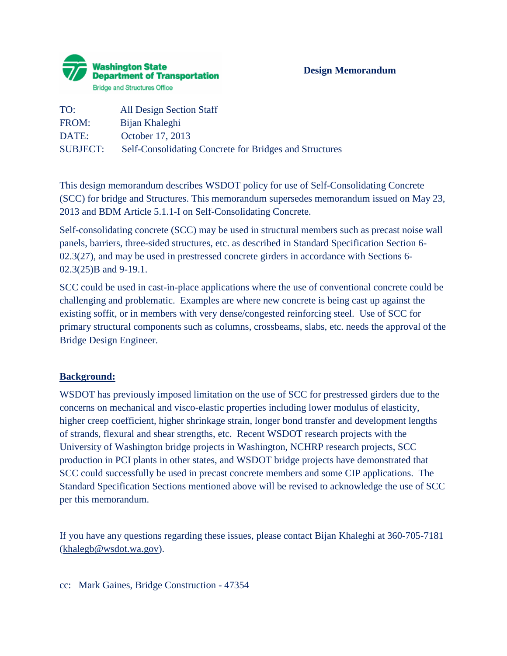

| TO:             | <b>All Design Section Staff</b>                        |
|-----------------|--------------------------------------------------------|
| FROM:           | Bijan Khaleghi                                         |
| DATE:           | October 17, 2013                                       |
| <b>SUBJECT:</b> | Self-Consolidating Concrete for Bridges and Structures |

This design memorandum describes WSDOT policy for use of Self-Consolidating Concrete (SCC) for bridge and Structures. This memorandum supersedes memorandum issued on May 23, 2013 and BDM Article 5.1.1-I on Self-Consolidating Concrete.

Self-consolidating concrete (SCC) may be used in structural members such as precast noise wall panels, barriers, three-sided structures, etc. as described in Standard Specification Section 6- 02.3(27), and may be used in prestressed concrete girders in accordance with Sections 6- 02.3(25)B and 9-19.1.

SCC could be used in cast-in-place applications where the use of conventional concrete could be challenging and problematic. Examples are where new concrete is being cast up against the existing soffit, or in members with very dense/congested reinforcing steel. Use of SCC for primary structural components such as columns, crossbeams, slabs, etc. needs the approval of the Bridge Design Engineer.

## **Background:**

WSDOT has previously imposed limitation on the use of SCC for prestressed girders due to the concerns on mechanical and visco-elastic properties including lower modulus of elasticity, higher creep coefficient, higher shrinkage strain, longer bond transfer and development lengths of strands, flexural and shear strengths, etc. Recent WSDOT research projects with the University of Washington bridge projects in Washington, NCHRP research projects, SCC production in PCI plants in other states, and WSDOT bridge projects have demonstrated that SCC could successfully be used in precast concrete members and some CIP applications. The Standard Specification Sections mentioned above will be revised to acknowledge the use of SCC per this memorandum.

If you have any questions regarding these issues, please contact Bijan Khaleghi at 360-705-7181 [\(khalegb@wsdot.wa.gov\)](mailto:khalegb@wsdot.wa.gov).

cc: Mark Gaines, Bridge Construction - 47354